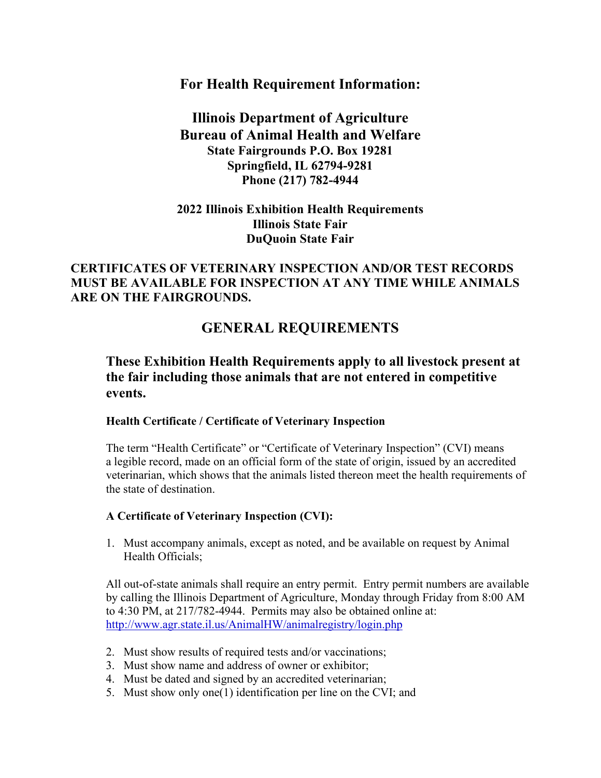## **For Health Requirement Information:**

# **Illinois Department of Agriculture Bureau of Animal Health and Welfare State Fairgrounds P.O. Box 19281 Springfield, IL 62794-9281 Phone (217) 782-4944**

# **2022 Illinois Exhibition Health Requirements Illinois State Fair DuQuoin State Fair**

# **CERTIFICATES OF VETERINARY INSPECTION AND/OR TEST RECORDS MUST BE AVAILABLE FOR INSPECTION AT ANY TIME WHILE ANIMALS ARE ON THE FAIRGROUNDS.**

# **GENERAL REQUIREMENTS**

# **These Exhibition Health Requirements apply to all livestock present at the fair including those animals that are not entered in competitive events.**

### **Health Certificate / Certificate of Veterinary Inspection**

The term "Health Certificate" or "Certificate of Veterinary Inspection" (CVI) means a legible record, made on an official form of the state of origin, issued by an accredited veterinarian, which shows that the animals listed thereon meet the health requirements of the state of destination.

### **A Certificate of Veterinary Inspection (CVI):**

1. Must accompany animals, except as noted, and be available on request by Animal Health Officials;

All out-of-state animals shall require an entry permit. Entry permit numbers are available by calling the Illinois Department of Agriculture, Monday through Friday from 8:00 AM to 4:30 PM, at 217/782-4944. Permits may also be obtained online at: <http://www.agr.state.il.us/AnimalHW/animalregistry/login.php>

- 2. Must show results of required tests and/or vaccinations;
- 3. Must show name and address of owner or exhibitor;
- 4. Must be dated and signed by an accredited veterinarian;
- 5. Must show only one(1) identification per line on the CVI; and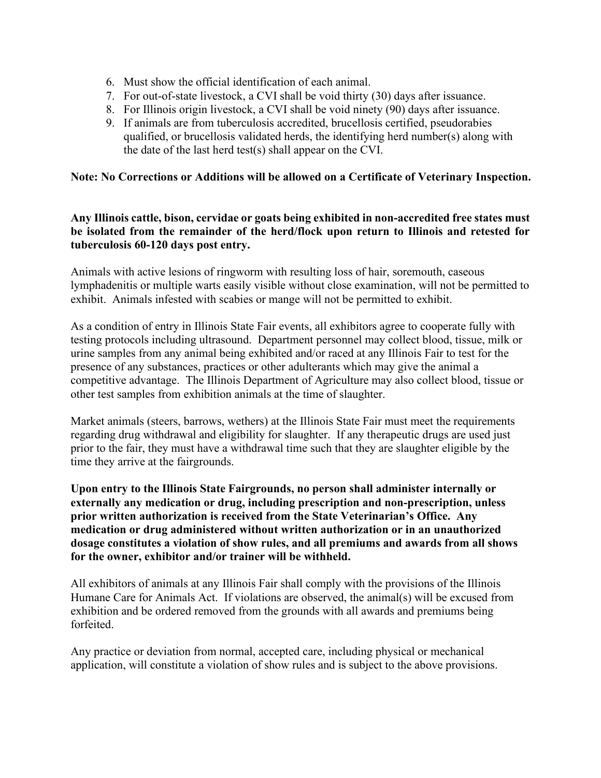- 6. Must show the official identification of each animal.
- 7. For out-of-state livestock, a CVI shall be void thirty (30) days after issuance.
- 8. For Illinois origin livestock, a CVI shall be void ninety (90) days after issuance.
- 9. If animals are from tuberculosis accredited, brucellosis certified, pseudorabies qualified, or brucellosis validated herds, the identifying herd number(s) along with the date of the last herd test(s) shall appear on the CVI.

### **Note: No Corrections or Additions will be allowed on a Certificate of Veterinary Inspection.**

### **Any Illinois cattle, bison, cervidae or goats being exhibited in non-accredited free states must be isolated from the remainder of the herd/flock upon return to Illinois and retested for tuberculosis 60-120 days post entry.**

Animals with active lesions of ringworm with resulting loss of hair, soremouth, caseous lymphadenitis or multiple warts easily visible without close examination, will not be permitted to exhibit. Animals infested with scabies or mange will not be permitted to exhibit.

As a condition of entry in Illinois State Fair events, all exhibitors agree to cooperate fully with testing protocols including ultrasound. Department personnel may collect blood, tissue, milk or urine samples from any animal being exhibited and/or raced at any Illinois Fair to test for the presence of any substances, practices or other adulterants which may give the animal a competitive advantage. The Illinois Department of Agriculture may also collect blood, tissue or other test samples from exhibition animals at the time of slaughter.

Market animals (steers, barrows, wethers) at the Illinois State Fair must meet the requirements regarding drug withdrawal and eligibility for slaughter. If any therapeutic drugs are used just prior to the fair, they must have a withdrawal time such that they are slaughter eligible by the time they arrive at the fairgrounds.

**Upon entry to the Illinois State Fairgrounds, no person shall administer internally or externally any medication or drug, including prescription and non-prescription, unless prior written authorization is received from the State Veterinarian's Office. Any medication or drug administered without written authorization or in an unauthorized dosage constitutes a violation of show rules, and all premiums and awards from all shows for the owner, exhibitor and/or trainer will be withheld.**

All exhibitors of animals at any Illinois Fair shall comply with the provisions of the Illinois Humane Care for Animals Act. If violations are observed, the animal(s) will be excused from exhibition and be ordered removed from the grounds with all awards and premiums being forfeited.

Any practice or deviation from normal, accepted care, including physical or mechanical application, will constitute a violation of show rules and is subject to the above provisions.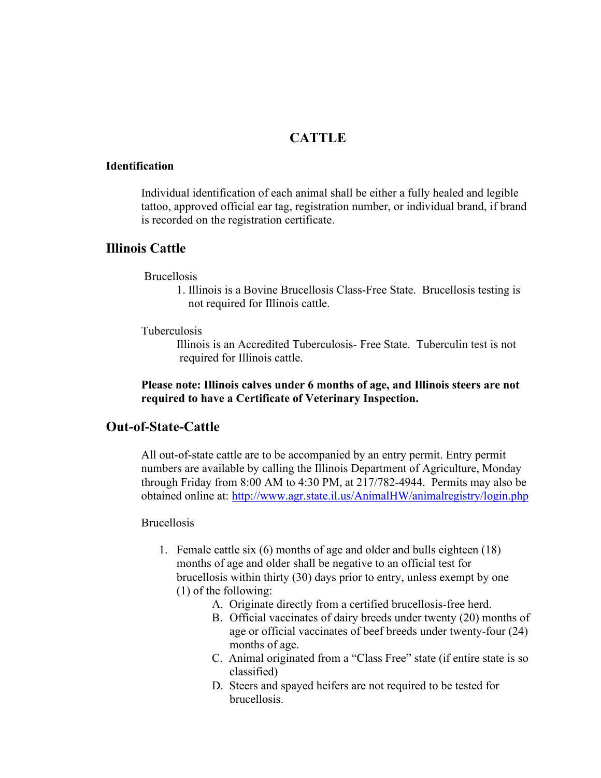## **CATTLE**

#### **Identification**

Individual identification of each animal shall be either a fully healed and legible tattoo, approved official ear tag, registration number, or individual brand, if brand is recorded on the registration certificate.

### **Illinois Cattle**

### Brucellosis

1. Illinois is a Bovine Brucellosis Class-Free State. Brucellosis testing is not required for Illinois cattle.

### Tuberculosis

Illinois is an Accredited Tuberculosis- Free State. Tuberculin test is not required for Illinois cattle.

### **Please note: Illinois calves under 6 months of age, and Illinois steers are not required to have a Certificate of Veterinary Inspection.**

## **Out-of-State-Cattle**

All out-of-state cattle are to be accompanied by an entry permit. Entry permit numbers are available by calling the Illinois Department of Agriculture, Monday through Friday from 8:00 AM to 4:30 PM, at 217/782-4944. Permits may also be obtained online at: <http://www.agr.state.il.us/AnimalHW/animalregistry/login.php>

#### Brucellosis

- 1. Female cattle six (6) months of age and older and bulls eighteen (18) months of age and older shall be negative to an official test for brucellosis within thirty (30) days prior to entry, unless exempt by one (1) of the following:
	- A. Originate directly from a certified brucellosis-free herd.
	- B. Official vaccinates of dairy breeds under twenty (20) months of age or official vaccinates of beef breeds under twenty-four (24) months of age.
	- C. Animal originated from a "Class Free" state (if entire state is so classified)
	- D. Steers and spayed heifers are not required to be tested for brucellosis.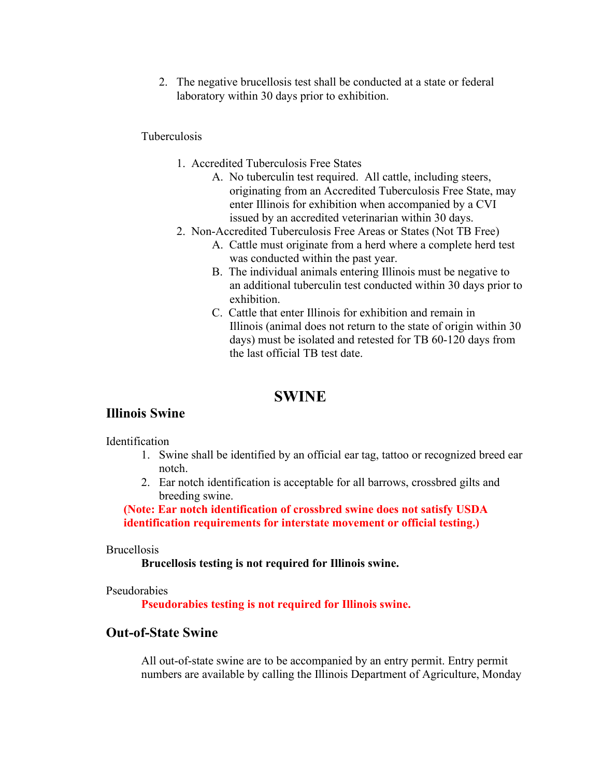2. The negative brucellosis test shall be conducted at a state or federal laboratory within 30 days prior to exhibition.

### Tuberculosis

- 1. Accredited Tuberculosis Free States
	- A. No tuberculin test required. All cattle, including steers, originating from an Accredited Tuberculosis Free State, may enter Illinois for exhibition when accompanied by a CVI issued by an accredited veterinarian within 30 days.
- 2. Non-Accredited Tuberculosis Free Areas or States (Not TB Free)
	- A. Cattle must originate from a herd where a complete herd test was conducted within the past year.
	- B. The individual animals entering Illinois must be negative to an additional tuberculin test conducted within 30 days prior to exhibition.
	- C. Cattle that enter Illinois for exhibition and remain in Illinois (animal does not return to the state of origin within 30 days) must be isolated and retested for TB 60-120 days from the last official TB test date.

## **SWINE**

## **Illinois Swine**

Identification

- 1. Swine shall be identified by an official ear tag, tattoo or recognized breed ear notch.
- 2. Ear notch identification is acceptable for all barrows, crossbred gilts and breeding swine.

**(Note: Ear notch identification of crossbred swine does not satisfy USDA identification requirements for interstate movement or official testing.)**

#### Brucellosis

**Brucellosis testing is not required for Illinois swine.**

#### Pseudorabies

**Pseudorabies testing is not required for Illinois swine.**

## **Out-of-State Swine**

All out-of-state swine are to be accompanied by an entry permit. Entry permit numbers are available by calling the Illinois Department of Agriculture, Monday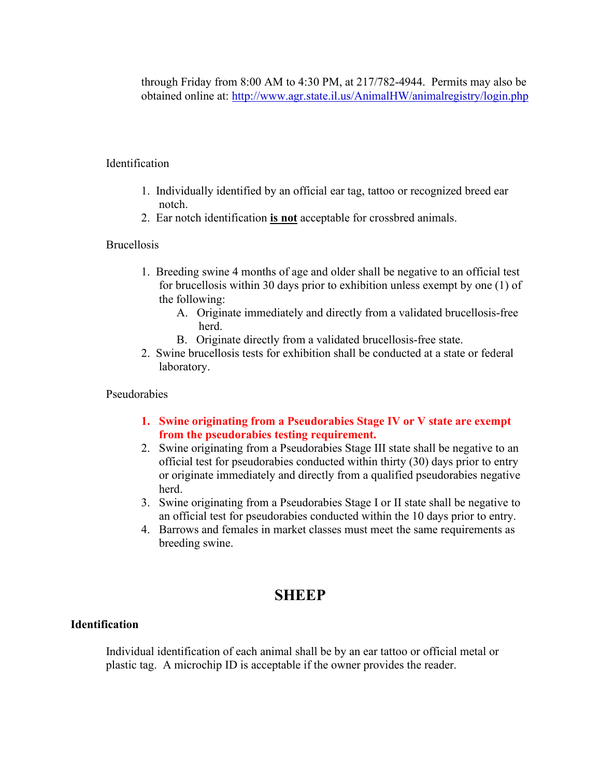through Friday from 8:00 AM to 4:30 PM, at 217/782-4944. Permits may also be obtained online at: <http://www.agr.state.il.us/AnimalHW/animalregistry/login.php>

### Identification

- 1. Individually identified by an official ear tag, tattoo or recognized breed ear notch.
- 2. Ear notch identification **is not** acceptable for crossbred animals.

### **Brucellosis**

- 1. Breeding swine 4 months of age and older shall be negative to an official test for brucellosis within 30 days prior to exhibition unless exempt by one (1) of the following:
	- A. Originate immediately and directly from a validated brucellosis-free herd.
	- B. Originate directly from a validated brucellosis-free state.
- 2. Swine brucellosis tests for exhibition shall be conducted at a state or federal laboratory.

### Pseudorabies

- **1. Swine originating from a Pseudorabies Stage IV or V state are exempt from the pseudorabies testing requirement.**
- 2. Swine originating from a Pseudorabies Stage III state shall be negative to an official test for pseudorabies conducted within thirty (30) days prior to entry or originate immediately and directly from a qualified pseudorabies negative herd.
- 3. Swine originating from a Pseudorabies Stage I or II state shall be negative to an official test for pseudorabies conducted within the 10 days prior to entry.
- 4. Barrows and females in market classes must meet the same requirements as breeding swine.

# **SHEEP**

### **Identification**

Individual identification of each animal shall be by an ear tattoo or official metal or plastic tag. A microchip ID is acceptable if the owner provides the reader.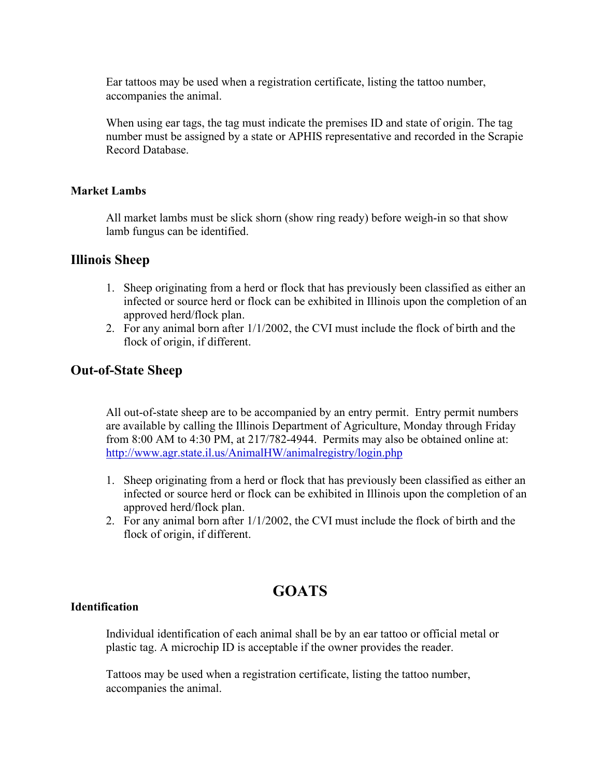Ear tattoos may be used when a registration certificate, listing the tattoo number, accompanies the animal.

When using ear tags, the tag must indicate the premises ID and state of origin. The tag number must be assigned by a state or APHIS representative and recorded in the Scrapie Record Database.

### **Market Lambs**

All market lambs must be slick shorn (show ring ready) before weigh-in so that show lamb fungus can be identified.

### **Illinois Sheep**

- 1. Sheep originating from a herd or flock that has previously been classified as either an infected or source herd or flock can be exhibited in Illinois upon the completion of an approved herd/flock plan.
- 2. For any animal born after 1/1/2002, the CVI must include the flock of birth and the flock of origin, if different.

## **Out-of-State Sheep**

All out-of-state sheep are to be accompanied by an entry permit. Entry permit numbers are available by calling the Illinois Department of Agriculture, Monday through Friday from 8:00 AM to 4:30 PM, at 217/782-4944. Permits may also be obtained online at: <http://www.agr.state.il.us/AnimalHW/animalregistry/login.php>

- 1. Sheep originating from a herd or flock that has previously been classified as either an infected or source herd or flock can be exhibited in Illinois upon the completion of an approved herd/flock plan.
- 2. For any animal born after 1/1/2002, the CVI must include the flock of birth and the flock of origin, if different.

# **GOATS**

### **Identification**

Individual identification of each animal shall be by an ear tattoo or official metal or plastic tag. A microchip ID is acceptable if the owner provides the reader.

Tattoos may be used when a registration certificate, listing the tattoo number, accompanies the animal.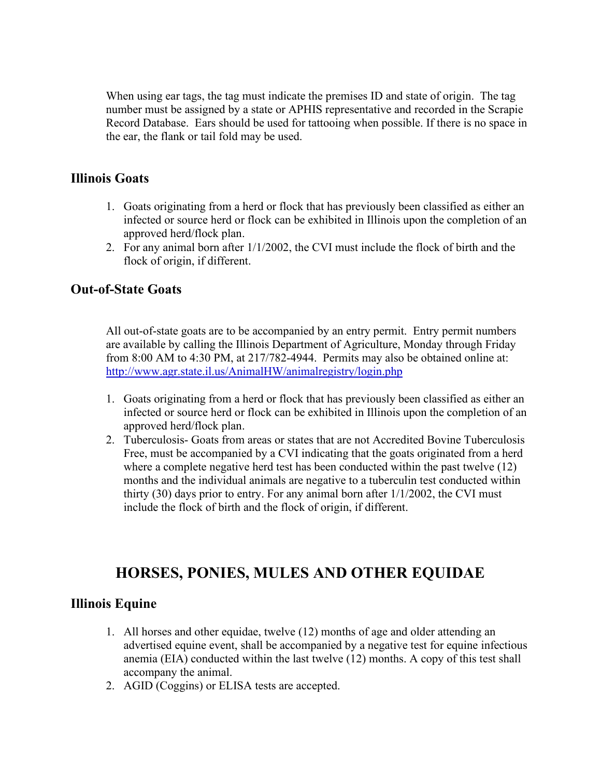When using ear tags, the tag must indicate the premises ID and state of origin. The tag number must be assigned by a state or APHIS representative and recorded in the Scrapie Record Database. Ears should be used for tattooing when possible. If there is no space in the ear, the flank or tail fold may be used.

## **Illinois Goats**

- 1. Goats originating from a herd or flock that has previously been classified as either an infected or source herd or flock can be exhibited in Illinois upon the completion of an approved herd/flock plan.
- 2. For any animal born after 1/1/2002, the CVI must include the flock of birth and the flock of origin, if different.

## **Out-of-State Goats**

All out-of-state goats are to be accompanied by an entry permit. Entry permit numbers are available by calling the Illinois Department of Agriculture, Monday through Friday from 8:00 AM to 4:30 PM, at 217/782-4944. Permits may also be obtained online at: <http://www.agr.state.il.us/AnimalHW/animalregistry/login.php>

- 1. Goats originating from a herd or flock that has previously been classified as either an infected or source herd or flock can be exhibited in Illinois upon the completion of an approved herd/flock plan.
- 2. Tuberculosis- Goats from areas or states that are not Accredited Bovine Tuberculosis Free, must be accompanied by a CVI indicating that the goats originated from a herd where a complete negative herd test has been conducted within the past twelve (12) months and the individual animals are negative to a tuberculin test conducted within thirty (30) days prior to entry. For any animal born after 1/1/2002, the CVI must include the flock of birth and the flock of origin, if different.

# **HORSES, PONIES, MULES AND OTHER EQUIDAE**

## **Illinois Equine**

- 1. All horses and other equidae, twelve (12) months of age and older attending an advertised equine event, shall be accompanied by a negative test for equine infectious anemia (EIA) conducted within the last twelve (12) months. A copy of this test shall accompany the animal.
- 2. AGID (Coggins) or ELISA tests are accepted.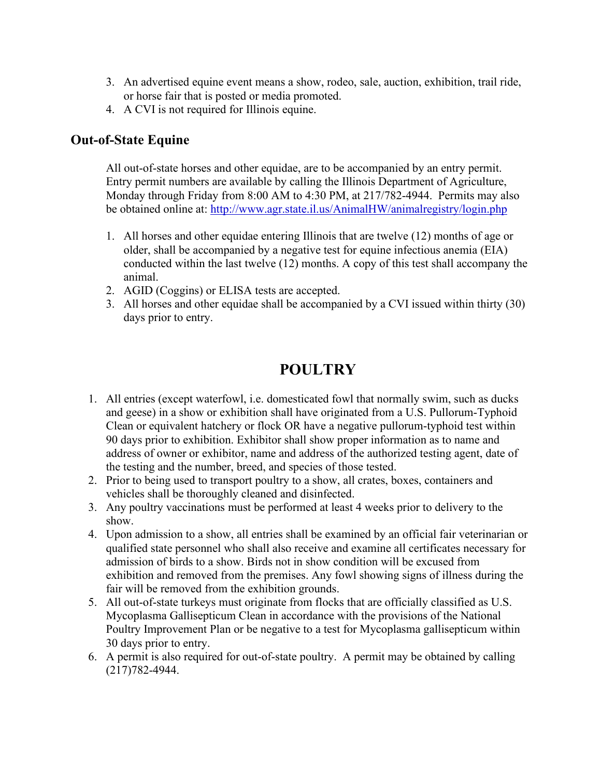- 3. An advertised equine event means a show, rodeo, sale, auction, exhibition, trail ride, or horse fair that is posted or media promoted.
- 4. A CVI is not required for Illinois equine.

# **Out-of-State Equine**

All out-of-state horses and other equidae, are to be accompanied by an entry permit. Entry permit numbers are available by calling the Illinois Department of Agriculture, Monday through Friday from 8:00 AM to 4:30 PM, at 217/782-4944. Permits may also be obtained online at: <http://www.agr.state.il.us/AnimalHW/animalregistry/login.php>

- 1. All horses and other equidae entering Illinois that are twelve (12) months of age or older, shall be accompanied by a negative test for equine infectious anemia (EIA) conducted within the last twelve (12) months. A copy of this test shall accompany the animal.
- 2. AGID (Coggins) or ELISA tests are accepted.
- 3. All horses and other equidae shall be accompanied by a CVI issued within thirty (30) days prior to entry.

# **POULTRY**

- 1. All entries (except waterfowl, i.e. domesticated fowl that normally swim, such as ducks and geese) in a show or exhibition shall have originated from a U.S. Pullorum-Typhoid Clean or equivalent hatchery or flock OR have a negative pullorum-typhoid test within 90 days prior to exhibition. Exhibitor shall show proper information as to name and address of owner or exhibitor, name and address of the authorized testing agent, date of the testing and the number, breed, and species of those tested.
- 2. Prior to being used to transport poultry to a show, all crates, boxes, containers and vehicles shall be thoroughly cleaned and disinfected.
- 3. Any poultry vaccinations must be performed at least 4 weeks prior to delivery to the show.
- 4. Upon admission to a show, all entries shall be examined by an official fair veterinarian or qualified state personnel who shall also receive and examine all certificates necessary for admission of birds to a show. Birds not in show condition will be excused from exhibition and removed from the premises. Any fowl showing signs of illness during the fair will be removed from the exhibition grounds.
- 5. All out-of-state turkeys must originate from flocks that are officially classified as U.S. Mycoplasma Gallisepticum Clean in accordance with the provisions of the National Poultry Improvement Plan or be negative to a test for Mycoplasma gallisepticum within 30 days prior to entry.
- 6. A permit is also required for out-of-state poultry. A permit may be obtained by calling (217)782-4944.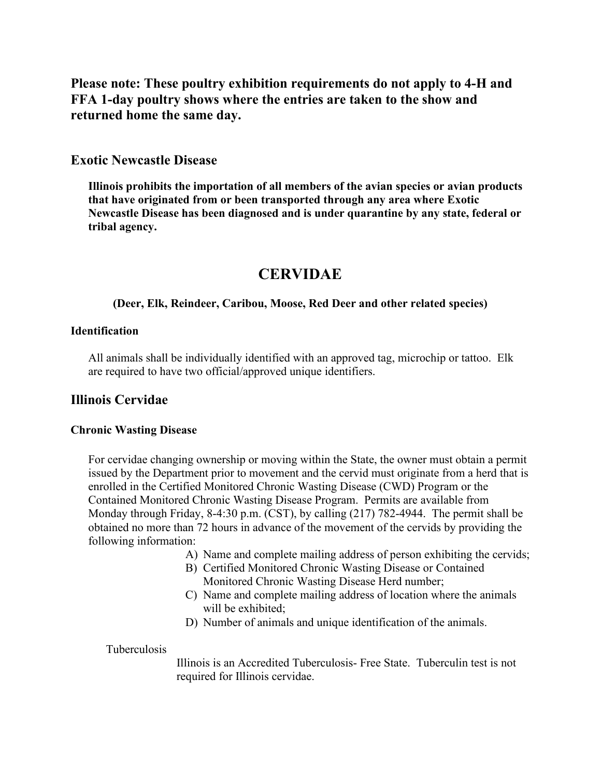**Please note: These poultry exhibition requirements do not apply to 4-H and FFA 1-day poultry shows where the entries are taken to the show and returned home the same day.**

### **Exotic Newcastle Disease**

**Illinois prohibits the importation of all members of the avian species or avian products that have originated from or been transported through any area where Exotic Newcastle Disease has been diagnosed and is under quarantine by any state, federal or tribal agency.**

# **CERVIDAE**

### **(Deer, Elk, Reindeer, Caribou, Moose, Red Deer and other related species)**

### **Identification**

All animals shall be individually identified with an approved tag, microchip or tattoo. Elk are required to have two official/approved unique identifiers.

## **Illinois Cervidae**

#### **Chronic Wasting Disease**

For cervidae changing ownership or moving within the State, the owner must obtain a permit issued by the Department prior to movement and the cervid must originate from a herd that is enrolled in the Certified Monitored Chronic Wasting Disease (CWD) Program or the Contained Monitored Chronic Wasting Disease Program. Permits are available from Monday through Friday, 8-4:30 p.m. (CST), by calling (217) 782-4944. The permit shall be obtained no more than 72 hours in advance of the movement of the cervids by providing the following information:

- A) Name and complete mailing address of person exhibiting the cervids;
- B) Certified Monitored Chronic Wasting Disease or Contained Monitored Chronic Wasting Disease Herd number;
- C) Name and complete mailing address of location where the animals will be exhibited;
- D) Number of animals and unique identification of the animals.

#### Tuberculosis

Illinois is an Accredited Tuberculosis- Free State. Tuberculin test is not required for Illinois cervidae.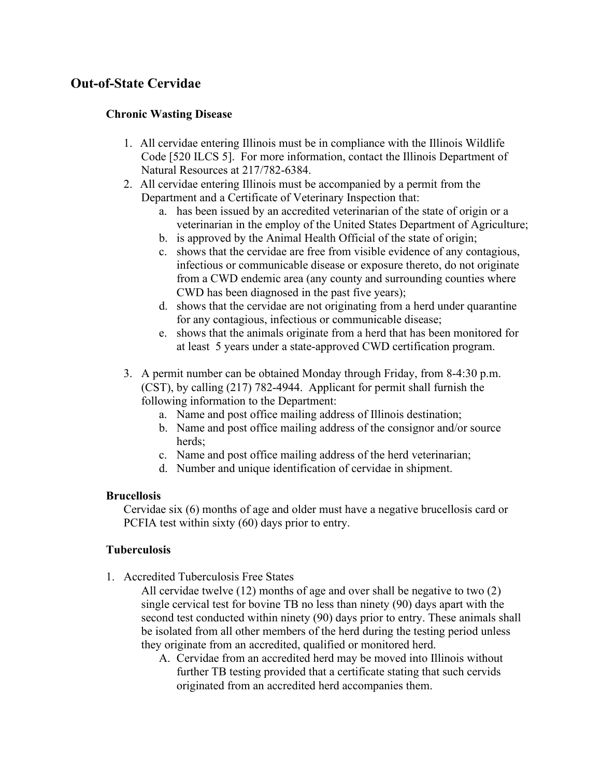# **Out-of-State Cervidae**

### **Chronic Wasting Disease**

- 1. All cervidae entering Illinois must be in compliance with the Illinois Wildlife Code [520 ILCS 5]. For more information, contact the Illinois Department of Natural Resources at 217/782-6384.
- 2. All cervidae entering Illinois must be accompanied by a permit from the Department and a Certificate of Veterinary Inspection that:
	- a. has been issued by an accredited veterinarian of the state of origin or a veterinarian in the employ of the United States Department of Agriculture;
	- b. is approved by the Animal Health Official of the state of origin;
	- c. shows that the cervidae are free from visible evidence of any contagious, infectious or communicable disease or exposure thereto, do not originate from a CWD endemic area (any county and surrounding counties where CWD has been diagnosed in the past five years);
	- d. shows that the cervidae are not originating from a herd under quarantine for any contagious, infectious or communicable disease;
	- e. shows that the animals originate from a herd that has been monitored for at least 5 years under a state-approved CWD certification program.
- 3. A permit number can be obtained Monday through Friday, from 8-4:30 p.m. (CST), by calling (217) 782-4944. Applicant for permit shall furnish the following information to the Department:
	- a. Name and post office mailing address of Illinois destination;
	- b. Name and post office mailing address of the consignor and/or source herds;
	- c. Name and post office mailing address of the herd veterinarian;
	- d. Number and unique identification of cervidae in shipment.

### **Brucellosis**

Cervidae six (6) months of age and older must have a negative brucellosis card or PCFIA test within sixty (60) days prior to entry.

## **Tuberculosis**

1. Accredited Tuberculosis Free States

All cervidae twelve (12) months of age and over shall be negative to two (2) single cervical test for bovine TB no less than ninety (90) days apart with the second test conducted within ninety (90) days prior to entry. These animals shall be isolated from all other members of the herd during the testing period unless they originate from an accredited, qualified or monitored herd.

A. Cervidae from an accredited herd may be moved into Illinois without further TB testing provided that a certificate stating that such cervids originated from an accredited herd accompanies them.